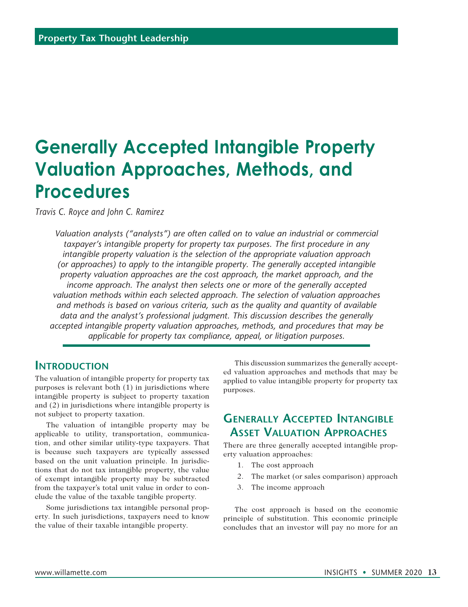# **Generally Accepted Intangible Property Valuation Approaches, Methods, and Procedures**

*Travis C. Royce and John C. Ramirez*

*Valuation analysts ("analysts") are often called on to value an industrial or commercial taxpayer's intangible property for property tax purposes. The first procedure in any intangible property valuation is the selection of the appropriate valuation approach (or approaches) to apply to the intangible property. The generally accepted intangible property valuation approaches are the cost approach, the market approach, and the income approach. The analyst then selects one or more of the generally accepted valuation methods within each selected approach. The selection of valuation approaches and methods is based on various criteria, such as the quality and quantity of available data and the analyst's professional judgment. This discussion describes the generally accepted intangible property valuation approaches, methods, and procedures that may be applicable for property tax compliance, appeal, or litigation purposes.*

#### **Introduction**

The valuation of intangible property for property tax purposes is relevant both (1) in jurisdictions where intangible property is subject to property taxation and (2) in jurisdictions where intangible property is not subject to property taxation.

The valuation of intangible property may be applicable to utility, transportation, communication, and other similar utility-type taxpayers. That is because such taxpayers are typically assessed based on the unit valuation principle. In jurisdictions that do not tax intangible property, the value of exempt intangible property may be subtracted from the taxpayer's total unit value in order to conclude the value of the taxable tangible property.

Some jurisdictions tax intangible personal property. In such jurisdictions, taxpayers need to know the value of their taxable intangible property.

This discussion summarizes the generally accepted valuation approaches and methods that may be applied to value intangible property for property tax purposes.

### **Generally Accepted Intangible Asset Valuation Approaches**

There are three generally accepted intangible property valuation approaches:

- 1. The cost approach
- 2. The market (or sales comparison) approach
- 3. The income approach

The cost approach is based on the economic principle of substitution. This economic principle concludes that an investor will pay no more for an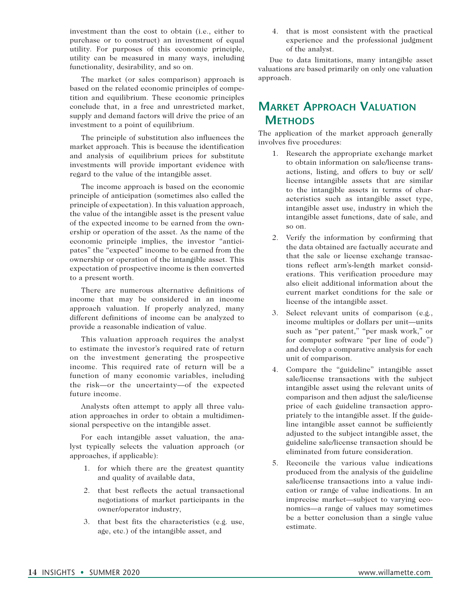investment than the cost to obtain (i.e., either to purchase or to construct) an investment of equal utility. For purposes of this economic principle, utility can be measured in many ways, including functionality, desirability, and so on.

The market (or sales comparison) approach is based on the related economic principles of competition and equilibrium. These economic principles conclude that, in a free and unrestricted market, supply and demand factors will drive the price of an investment to a point of equilibrium.

The principle of substitution also influences the market approach. This is because the identification and analysis of equilibrium prices for substitute investments will provide important evidence with regard to the value of the intangible asset.

The income approach is based on the economic principle of anticipation (sometimes also called the principle of expectation). In this valuation approach, the value of the intangible asset is the present value of the expected income to be earned from the ownership or operation of the asset. As the name of the economic principle implies, the investor "anticipates" the "expected" income to be earned from the ownership or operation of the intangible asset. This expectation of prospective income is then converted to a present worth.

There are numerous alternative definitions of income that may be considered in an income approach valuation. If properly analyzed, many different definitions of income can be analyzed to provide a reasonable indication of value.

This valuation approach requires the analyst to estimate the investor's required rate of return on the investment generating the prospective income. This required rate of return will be a function of many economic variables, including the risk—or the uncertainty—of the expected future income.

Analysts often attempt to apply all three valuation approaches in order to obtain a multidimensional perspective on the intangible asset.

For each intangible asset valuation, the analyst typically selects the valuation approach (or approaches, if applicable):

- 1. for which there are the greatest quantity and quality of available data,
- 2. that best reflects the actual transactional negotiations of market participants in the owner/operator industry,
- 3. that best fits the characteristics (e.g. use, age, etc.) of the intangible asset, and

4. that is most consistent with the practical experience and the professional judgment of the analyst.

Due to data limitations, many intangible asset valuations are based primarily on only one valuation approach.

# **Market Approach Valuation Methods**

The application of the market approach generally involves five procedures:

- 1. Research the appropriate exchange market to obtain information on sale/license transactions, listing, and offers to buy or sell/ license intangible assets that are similar to the intangible assets in terms of characteristics such as intangible asset type, intangible asset use, industry in which the intangible asset functions, date of sale, and so on.
- 2. Verify the information by confirming that the data obtained are factually accurate and that the sale or license exchange transactions reflect arm's-length market considerations. This verification procedure may also elicit additional information about the current market conditions for the sale or license of the intangible asset.
- 3. Select relevant units of comparison (e.g., income multiples or dollars per unit—units such as "per patent," "per mask work," or for computer software "per line of code") and develop a comparative analysis for each unit of comparison.
- 4. Compare the "guideline" intangible asset sale/license transactions with the subject intangible asset using the relevant units of comparison and then adjust the sale/license price of each guideline transaction appropriately to the intangible asset. If the guideline intangible asset cannot be sufficiently adjusted to the subject intangible asset, the guideline sale/license transaction should be eliminated from future consideration.
- 5. Reconcile the various value indications produced from the analysis of the guideline sale/license transactions into a value indication or range of value indications. In an imprecise market—subject to varying economics—a range of values may sometimes be a better conclusion than a single value estimate.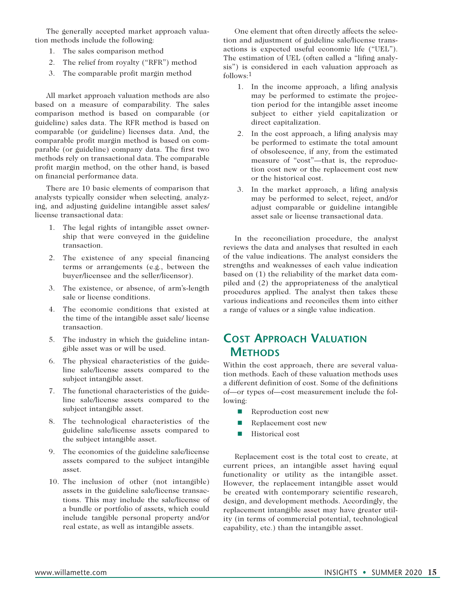The generally accepted market approach valuation methods include the following:

- 1. The sales comparison method
- 2. The relief from royalty ("RFR") method
- 3. The comparable profit margin method

All market approach valuation methods are also based on a measure of comparability. The sales comparison method is based on comparable (or guideline) sales data. The RFR method is based on comparable (or guideline) licenses data. And, the comparable profit margin method is based on comparable (or guideline) company data. The first two methods rely on transactional data. The comparable profit margin method, on the other hand, is based on financial performance data.

There are 10 basic elements of comparison that analysts typically consider when selecting, analyzing, and adjusting guideline intangible asset sales/ license transactional data:

- 1. The legal rights of intangible asset ownership that were conveyed in the guideline transaction.
- 2. The existence of any special financing terms or arrangements (e.g., between the buyer/licensee and the seller/licensor).
- 3. The existence, or absence, of arm's-length sale or license conditions.
- 4. The economic conditions that existed at the time of the intangible asset sale/ license transaction.
- 5. The industry in which the guideline intangible asset was or will be used.
- 6. The physical characteristics of the guideline sale/license assets compared to the subject intangible asset.
- 7. The functional characteristics of the guideline sale/license assets compared to the subject intangible asset.
- 8. The technological characteristics of the guideline sale/license assets compared to the subject intangible asset.
- 9. The economics of the guideline sale/license assets compared to the subject intangible asset.
- 10. The inclusion of other (not intangible) assets in the guideline sale/license transactions. This may include the sale/license of a bundle or portfolio of assets, which could include tangible personal property and/or real estate, as well as intangible assets.

One element that often directly affects the selection and adjustment of guideline sale/license transactions is expected useful economic life ("UEL"). The estimation of UEL (often called a "lifing analysis") is considered in each valuation approach as follows:1

- 1. In the income approach, a lifing analysis may be performed to estimate the projection period for the intangible asset income subject to either yield capitalization or direct capitalization.
- 2. In the cost approach, a lifing analysis may be performed to estimate the total amount of obsolescence, if any, from the estimated measure of "cost"—that is, the reproduction cost new or the replacement cost new or the historical cost.
- 3. In the market approach, a lifing analysis may be performed to select, reject, and/or adjust comparable or guideline intangible asset sale or license transactional data.

In the reconciliation procedure, the analyst reviews the data and analyses that resulted in each of the value indications. The analyst considers the strengths and weaknesses of each value indication based on (1) the reliability of the market data compiled and (2) the appropriateness of the analytical procedures applied. The analyst then takes these various indications and reconciles them into either a range of values or a single value indication.

## **Cost Approach Valuation Methods**

Within the cost approach, there are several valuation methods. Each of these valuation methods uses a different definition of cost. Some of the definitions of—or types of—cost measurement include the following:

- $\blacksquare$  Reproduction cost new
- $\blacksquare$  Replacement cost new
- $\blacksquare$  Historical cost

Replacement cost is the total cost to create, at current prices, an intangible asset having equal functionality or utility as the intangible asset. However, the replacement intangible asset would be created with contemporary scientific research, design, and development methods. Accordingly, the replacement intangible asset may have greater utility (in terms of commercial potential, technological capability, etc.) than the intangible asset.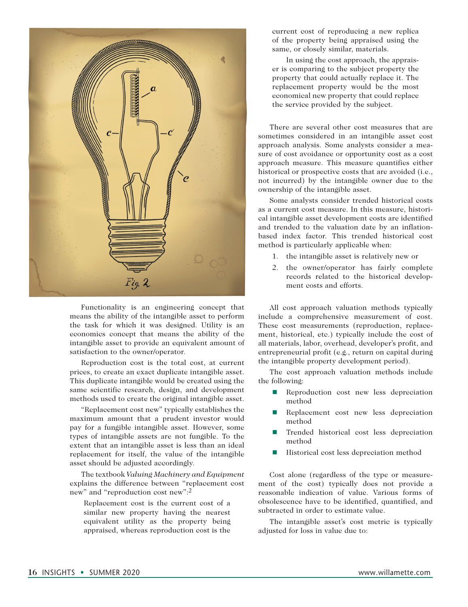

Functionality is an engineering concept that means the ability of the intangible asset to perform the task for which it was designed. Utility is an economics concept that means the ability of the intangible asset to provide an equivalent amount of satisfaction to the owner/operator.

Reproduction cost is the total cost, at current prices, to create an exact duplicate intangible asset. This duplicate intangible would be created using the same scientific research, design, and development methods used to create the original intangible asset.

"Replacement cost new" typically establishes the maximum amount that a prudent investor would pay for a fungible intangible asset. However, some types of intangible assets are not fungible. To the extent that an intangible asset is less than an ideal replacement for itself, the value of the intangible asset should be adjusted accordingly.

The textbook *Valuing Machinery and Equipment*  explains the difference between "replacement cost new" and "reproduction cost new":2

Replacement cost is the current cost of a similar new property having the nearest equivalent utility as the property being appraised, whereas reproduction cost is the

current cost of reproducing a new replica of the property being appraised using the same, or closely similar, materials.

In using the cost approach, the appraiser is comparing to the subject property the property that could actually replace it. The replacement property would be the most economical new property that could replace the service provided by the subject.

There are several other cost measures that are sometimes considered in an intangible asset cost approach analysis. Some analysts consider a measure of cost avoidance or opportunity cost as a cost approach measure. This measure quantifies either historical or prospective costs that are avoided (i.e., not incurred) by the intangible owner due to the ownership of the intangible asset.

Some analysts consider trended historical costs as a current cost measure. In this measure, historical intangible asset development costs are identified and trended to the valuation date by an inflationbased index factor. This trended historical cost method is particularly applicable when:

- 1. the intangible asset is relatively new or
- 2. the owner/operator has fairly complete records related to the historical development costs and efforts.

All cost approach valuation methods typically include a comprehensive measurement of cost. These cost measurements (reproduction, replacement, historical, etc.) typically include the cost of all materials, labor, overhead, developer's profit, and entrepreneurial profit (e.g., return on capital during the intangible property development period).

The cost approach valuation methods include the following:

- **n** Reproduction cost new less depreciation method
- n Replacement cost new less depreciation method
- Trended historical cost less depreciation method
- Historical cost less depreciation method

Cost alone (regardless of the type or measurement of the cost) typically does not provide a reasonable indication of value. Various forms of obsolescence have to be identified, quantified, and subtracted in order to estimate value.

The intangible asset's cost metric is typically adjusted for loss in value due to: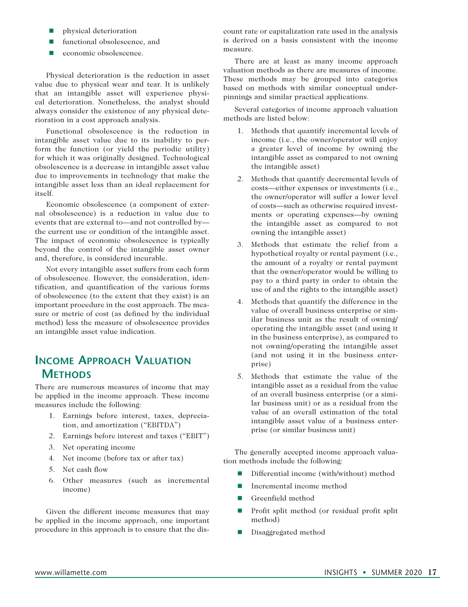- $\blacksquare$  physical deterioration
- functional obsolescence, and
- economic obsolescence.

Physical deterioration is the reduction in asset value due to physical wear and tear. It is unlikely that an intangible asset will experience physical deterioration. Nonetheless, the analyst should always consider the existence of any physical deterioration in a cost approach analysis.

Functional obsolescence is the reduction in intangible asset value due to its inability to perform the function (or yield the periodic utility) for which it was originally designed. Technological obsolescence is a decrease in intangible asset value due to improvements in technology that make the intangible asset less than an ideal replacement for itself.

Economic obsolescence (a component of external obsolescence) is a reduction in value due to events that are external to—and not controlled by the current use or condition of the intangible asset. The impact of economic obsolescence is typically beyond the control of the intangible asset owner and, therefore, is considered incurable.

Not every intangible asset suffers from each form of obsolescence. However, the consideration, identification, and quantification of the various forms of obsolescence (to the extent that they exist) is an important procedure in the cost approach. The measure or metric of cost (as defined by the individual method) less the measure of obsolescence provides an intangible asset value indication.

### **Income Approach Valuation Methods**

There are numerous measures of income that may be applied in the income approach. These income measures include the following:

- 1. Earnings before interest, taxes, depreciation, and amortization ("EBITDA")
- 2. Earnings before interest and taxes ("EBIT")
- 3. Net operating income
- 4. Net income (before tax or after tax)
- 5. Net cash flow
- 6. Other measures (such as incremental income)

Given the different income measures that may be applied in the income approach, one important procedure in this approach is to ensure that the discount rate or capitalization rate used in the analysis is derived on a basis consistent with the income measure.

There are at least as many income approach valuation methods as there are measures of income. These methods may be grouped into categories based on methods with similar conceptual underpinnings and similar practical applications.

Several categories of income approach valuation methods are listed below:

- 1. Methods that quantify incremental levels of income (i.e., the owner/operator will enjoy a greater level of income by owning the intangible asset as compared to not owning the intangible asset)
- 2. Methods that quantify decremental levels of costs—either expenses or investments (i.e., the owner/operator will suffer a lower level of costs—such as otherwise required investments or operating expenses—by owning the intangible asset as compared to not owning the intangible asset)
- 3. Methods that estimate the relief from a hypothetical royalty or rental payment (i.e., the amount of a royalty or rental payment that the owner/operator would be willing to pay to a third party in order to obtain the use of and the rights to the intangible asset)
- 4. Methods that quantify the difference in the value of overall business enterprise or similar business unit as the result of owning/ operating the intangible asset (and using it in the business enterprise), as compared to not owning/operating the intangible asset (and not using it in the business enterprise)
- 5. Methods that estimate the value of the intangible asset as a residual from the value of an overall business enterprise (or a similar business unit) or as a residual from the value of an overall estimation of the total intangible asset value of a business enterprise (or similar business unit)

The generally accepted income approach valuation methods include the following:

- Differential income (with/without) method
- Incremental income method
- **n** Greenfield method
- $\blacksquare$  Profit split method (or residual profit split method)
- **n** Disaggregated method